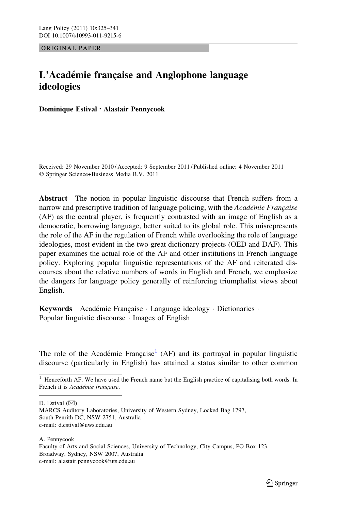ORIGINAL PAPER

# L'Académie francaise and Anglophone language ideologies

Dominique Estival • Alastair Pennycook

Received: 29 November 2010 / Accepted: 9 September 2011 / Published online: 4 November 2011 - Springer Science+Business Media B.V. 2011

Abstract The notion in popular linguistic discourse that French suffers from a narrow and prescriptive tradition of language policing, with the Académie Française (AF) as the central player, is frequently contrasted with an image of English as a democratic, borrowing language, better suited to its global role. This misrepresents the role of the AF in the regulation of French while overlooking the role of language ideologies, most evident in the two great dictionary projects (OED and DAF). This paper examines the actual role of the AF and other institutions in French language policy. Exploring popular linguistic representations of the AF and reiterated discourses about the relative numbers of words in English and French, we emphasize the dangers for language policy generally of reinforcing triumphalist views about English.

Keywords Académie Française · Language ideology · Dictionaries · Popular linguistic discourse - Images of English

The role of the Académie Française<sup>1</sup> (AF) and its portrayal in popular linguistic discourse (particularly in English) has attained a status similar to other common

D. Estival  $(\boxtimes)$ 

MARCS Auditory Laboratories, University of Western Sydney, Locked Bag 1797, South Penrith DC, NSW 2751, Australia e-mail: d.estival@uws.edu.au

A. Pennycook Faculty of Arts and Social Sciences, University of Technology, City Campus, PO Box 123, Broadway, Sydney, NSW 2007, Australia e-mail: alastair.pennycook@uts.edu.au

 $1$  Henceforth AF. We have used the French name but the English practice of capitalising both words. In French it is Académie française.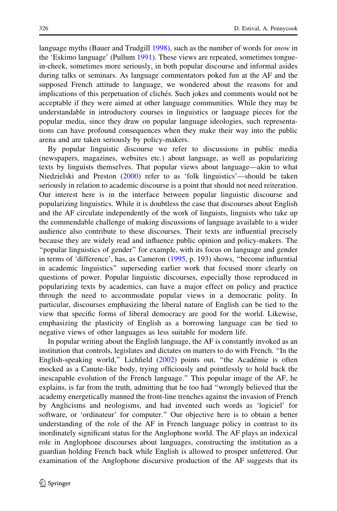language myths (Bauer and Trudgill [1998](#page-14-0)), such as the number of words for *snow* in the 'Eskimo language' (Pullum [1991\)](#page-15-0). These views are repeated, sometimes tonguein-cheek, sometimes more seriously, in both popular discourse and informal asides during talks or seminars. As language commentators poked fun at the AF and the supposed French attitude to language, we wondered about the reasons for and implications of this perpetuation of clichés. Such jokes and comments would not be acceptable if they were aimed at other language communities. While they may be understandable in introductory courses in linguistics or language pieces for the popular media, since they draw on popular language ideologies, such representations can have profound consequences when they make their way into the public arena and are taken seriously by policy-makers.

By popular linguistic discourse we refer to discussions in public media (newspapers, magazines, websites etc.) about language, as well as popularizing texts by linguists themselves. That popular views about language—akin to what Niedzielski and Preston ([2000\)](#page-15-0) refer to as 'folk linguistics'—should be taken seriously in relation to academic discourse is a point that should not need reiteration. Our interest here is in the interface between popular linguistic discourse and popularizing linguistics. While it is doubtless the case that discourses about English and the AF circulate independently of the work of linguists, linguists who take up the commendable challenge of making discussions of language available to a wider audience also contribute to these discourses. Their texts are influential precisely because they are widely read and influence public opinion and policy-makers. The ''popular linguistics of gender'' for example, with its focus on language and gender in terms of 'difference', has, as Cameron [\(1995](#page-14-0), p. 193) shows, ''become influential in academic linguistics'' superseding earlier work that focused more clearly on questions of power. Popular linguistic discourses, especially those reproduced in popularizing texts by academics, can have a major effect on policy and practice through the need to accommodate popular views in a democratic polity. In particular, discourses emphasizing the liberal nature of English can be tied to the view that specific forms of liberal democracy are good for the world. Likewise, emphasizing the plasticity of English as a borrowing language can be tied to negative views of other languages as less suitable for modern life.

In popular writing about the English language, the AF is constantly invoked as an institution that controls, legislates and dictates on matters to do with French. ''In the English-speaking world," Lichfield [\(2002](#page-15-0)) points out, "the Académie is often mocked as a Canute-like body, trying officiously and pointlessly to hold back the inescapable evolution of the French language.'' This popular image of the AF, he explains, is far from the truth, admitting that he too had ''wrongly believed that the academy energetically manned the front-line trenches against the invasion of French by Anglicisms and neologisms, and had invented such words as 'logiciel' for software, or 'ordinateur' for computer.'' Our objective here is to obtain a better understanding of the role of the AF in French language policy in contrast to its inordinately significant status for the Anglophone world. The AF plays an indexical role in Anglophone discourses about languages, constructing the institution as a guardian holding French back while English is allowed to prosper unfettered. Our examination of the Anglophone discursive production of the AF suggests that its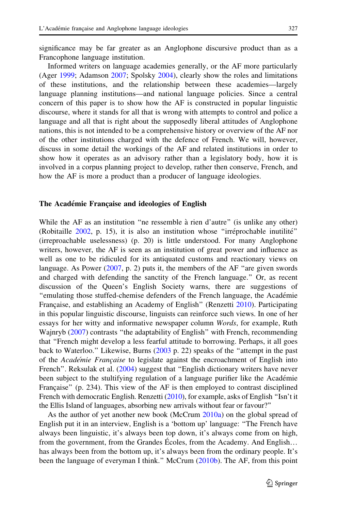significance may be far greater as an Anglophone discursive product than as a Francophone language institution.

Informed writers on language academies generally, or the AF more particularly (Ager [1999](#page-14-0); Adamson [2007;](#page-14-0) Spolsky [2004](#page-15-0)), clearly show the roles and limitations of these institutions, and the relationship between these academies—largely language planning institutions—and national language policies. Since a central concern of this paper is to show how the AF is constructed in popular linguistic discourse, where it stands for all that is wrong with attempts to control and police a language and all that is right about the supposedly liberal attitudes of Anglophone nations, this is not intended to be a comprehensive history or overview of the AF nor of the other institutions charged with the defence of French. We will, however, discuss in some detail the workings of the AF and related institutions in order to show how it operates as an advisory rather than a legislatory body, how it is involved in a corpus planning project to develop, rather then conserve, French, and how the AF is more a product than a producer of language ideologies.

#### The Académie Francaise and ideologies of English

While the AF as an institution "ne ressemble à rien d'autre" (is unlike any other) (Robitaille  $2002$ , p. 15), it is also an institution whose "irréprochable inutilité" (irreproachable uselessness) (p. 20) is little understood. For many Anglophone writers, however, the AF is seen as an institution of great power and influence as well as one to be ridiculed for its antiquated customs and reactionary views on language. As Power  $(2007, p. 2)$  $(2007, p. 2)$  $(2007, p. 2)$  puts it, the members of the AF "are given swords" and charged with defending the sanctity of the French language.'' Or, as recent discussion of the Queen's English Society warns, there are suggestions of "emulating those stuffed-chemise defenders of the French language, the Académie Française, and establishing an Academy of English" (Renzetti [2010](#page-15-0)). Participating in this popular linguistic discourse, linguists can reinforce such views. In one of her essays for her witty and informative newspaper column Words, for example, Ruth Wajnryb ([2007\)](#page-15-0) contrasts ''the adaptability of English'' with French, recommending that ''French might develop a less fearful attitude to borrowing. Perhaps, it all goes back to Waterloo.'' Likewise, Burns [\(2003](#page-14-0) p. 22) speaks of the ''attempt in the past of the Académie Française to legislate against the encroachment of English into French". Reksulak et al. [\(2004](#page-15-0)) suggest that "English dictionary writers have never been subject to the stultifying regulation of a language purifier like the Académie Française" (p. 234). This view of the AF is then employed to contrast disciplined French with democratic English. Renzetti [\(2010](#page-15-0)), for example, asks of English ''Isn't it the Ellis Island of languages, absorbing new arrivals without fear or favour?''

As the author of yet another new book (McCrum [2010a\)](#page-15-0) on the global spread of English put it in an interview, English is a 'bottom up' language: ''The French have always been linguistic, it's always been top down, it's always come from on high, from the government, from the Grandes Ecoles, from the Academy. And English… has always been from the bottom up, it's always been from the ordinary people. It's been the language of everyman I think.'' McCrum ([2010b\)](#page-15-0). The AF, from this point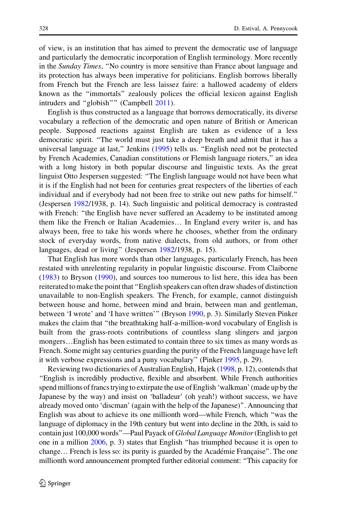of view, is an institution that has aimed to prevent the democratic use of language and particularly the democratic incorporation of English terminology. More recently in the Sunday Times, ''No country is more sensitive than France about language and its protection has always been imperative for politicians. English borrows liberally from French but the French are less laissez faire: a hallowed academy of elders known as the ''immortals'' zealously polices the official lexicon against English intruders and ''globish'''' (Campbell [2011\)](#page-14-0).

English is thus constructed as a language that borrows democratically, its diverse vocabulary a reflection of the democratic and open nature of British or American people. Supposed reactions against English are taken as evidence of a less democratic spirit. ''The world must just take a deep breath and admit that it has a universal language at last,'' Jenkins [\(1995](#page-15-0)) tells us. ''English need not be protected by French Academies, Canadian constitutions or Flemish language rioters,'' an idea with a long history in both popular discourse and linguistic texts. As the great linguist Otto Jespersen suggested: ''The English language would not have been what it is if the English had not been for centuries great respecters of the liberties of each individual and if everybody had not been free to strike out new paths for himself.'' (Jespersen [1982/](#page-15-0)1938, p. 14). Such linguistic and political democracy is contrasted with French: "the English have never suffered an Academy to be instituted among them like the French or Italian Academies… In England every writer is, and has always been, free to take his words where he chooses, whether from the ordinary stock of everyday words, from native dialects, from old authors, or from other languages, dead or living'' (Jespersen [1982/](#page-15-0)1938, p. 15).

That English has more words than other languages, particularly French, has been restated with unrelenting regularity in popular linguistic discourse. From Claiborne [\(1983](#page-14-0)) to Bryson [\(1990](#page-14-0)), and sources too numerous to list here, this idea has been reiterated to make the point that ''English speakers can often draw shades of distinction unavailable to non-English speakers. The French, for example, cannot distinguish between house and home, between mind and brain, between man and gentleman, between 'I wrote' and 'I have written''' (Bryson [1990](#page-14-0), p. 3). Similarly Steven Pinker makes the claim that ''the breathtaking half-a-million-word vocabulary of English is built from the grass-roots contributions of countless slang slingers and jargon mongers…English has been estimated to contain three to six times as many words as French. Some might say centuries guarding the purity of the French language have left it with verbose expressions and a puny vocabulary'' (Pinker [1995,](#page-15-0) p. 29).

Reviewing two dictionaries of Australian English, Hajek [\(1998,](#page-15-0) p. 12), contends that ''English is incredibly productive, flexible and absorbent. While French authorities spend millions of francs trying to extirpate the use of English 'walkman' (made up by the Japanese by the way) and insist on 'balladeur' (oh yeah!) without success, we have already moved onto 'discman' (again with the help of the Japanese)''. Announcing that English was about to achieve its one millionth word—while French, which ''was the language of diplomacy in the 19th century but went into decline in the 20th, is said to contain just 100,000 words"—Paul Payack of Global Language Monitor (English to get one in a million [2006,](#page-15-0) p. 3) states that English ''has triumphed because it is open to change... French is less so: its purity is guarded by the Académie Française". The one millionth word announcement prompted further editorial comment: ''This capacity for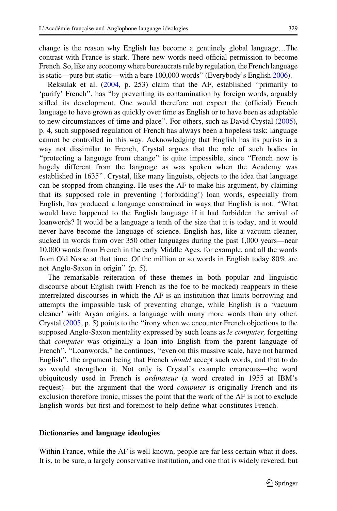change is the reason why English has become a genuinely global language…The contrast with France is stark. There new words need official permission to become French. So, like any economy where bureaucrats rule by regulation, the French language is static—pure but static—with a bare 100,000 words'' (Everybody's English [2006](#page-15-0)).

Reksulak et al. ([2004,](#page-15-0) p. 253) claim that the AF, established ''primarily to 'purify' French'', has ''by preventing its contamination by foreign words, arguably stifled its development. One would therefore not expect the (official) French language to have grown as quickly over time as English or to have been as adaptable to new circumstances of time and place''. For others, such as David Crystal ([2005\)](#page-14-0), p. 4, such supposed regulation of French has always been a hopeless task: language cannot be controlled in this way. Acknowledging that English has its purists in a way not dissimilar to French, Crystal argues that the role of such bodies in "protecting a language from change" is quite impossible, since "French now is hugely different from the language as was spoken when the Academy was established in 1635''. Crystal, like many linguists, objects to the idea that language can be stopped from changing. He uses the AF to make his argument, by claiming that its supposed role in preventing ('forbidding') loan words, especially from English, has produced a language constrained in ways that English is not: ''What would have happened to the English language if it had forbidden the arrival of loanwords? It would be a language a tenth of the size that it is today, and it would never have become the language of science. English has, like a vacuum-cleaner, sucked in words from over 350 other languages during the past 1,000 years—near 10,000 words from French in the early Middle Ages, for example, and all the words from Old Norse at that time. Of the million or so words in English today 80% are not Anglo-Saxon in origin'' (p. 5).

The remarkable reiteration of these themes in both popular and linguistic discourse about English (with French as the foe to be mocked) reappears in these interrelated discourses in which the AF is an institution that limits borrowing and attempts the impossible task of preventing change, while English is a 'vacuum cleaner' with Aryan origins, a language with many more words than any other. Crystal ([2005,](#page-14-0) p. 5) points to the ''irony when we encounter French objections to the supposed Anglo-Saxon mentality expressed by such loans as *le computer*, forgetting that computer was originally a loan into English from the parent language of French". "Loanwords," he continues, "even on this massive scale, have not harmed English", the argument being that French *should* accept such words, and that to do so would strengthen it. Not only is Crystal's example erroneous—the word ubiquitously used in French is *ordinateur* (a word created in 1955 at IBM's request)—but the argument that the word *computer* is originally French and its exclusion therefore ironic, misses the point that the work of the AF is not to exclude English words but first and foremost to help define what constitutes French.

### Dictionaries and language ideologies

Within France, while the AF is well known, people are far less certain what it does. It is, to be sure, a largely conservative institution, and one that is widely revered, but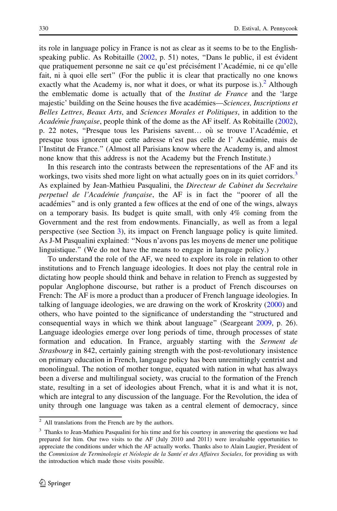its role in language policy in France is not as clear as it seems to be to the English-speaking public. As Robitaille [\(2002](#page-15-0), p. 51) notes, "Dans le public, il est évident que pratiquement personne ne sait ce qu'est précisément l'Académie, ni ce qu'elle fait, ni à quoi elle sert" (For the public it is clear that practically no one knows exactly what the Academy is, nor what it does, or what its purpose is.).<sup>2</sup> Although the emblematic dome is actually that of the *Institut de France* and the 'large majestic' building on the Seine houses the five académies—Sciences, Inscriptions et Belles Lettres, Beaux Arts, and Sciences Morales et Politiques, in addition to the Académie française, people think of the dome as the AF itself. As Robitaille ([2002\)](#page-15-0), p. 22 notes, "Presque tous les Parisiens savent... où se trouve l'Académie, et presque tous ignorent que cette adresse n'est pas celle de l' Acade´mie, mais de l'Institut de France.'' (Almost all Parisians know where the Academy is, and almost none know that this address is not the Academy but the French Institute.)

In this research into the contrasts between the representations of the AF and its workings, two visits shed more light on what actually goes on in its quiet corridors.<sup>3</sup> As explained by Jean-Mathieu Pasqualini, the Directeur de Cabinet du Secrétaire perpetuel de l'Académie française, the AF is in fact the "poorer of all the académies" and is only granted a few offices at the end of one of the wings, always on a temporary basis. Its budget is quite small, with only 4% coming from the Government and the rest from endowments. Financially, as well as from a legal perspective (see Section [3](#page-7-0)), its impact on French language policy is quite limited. As J-M Pasqualini explained: ''Nous n'avons pas les moyens de mener une politique linguistique.'' (We do not have the means to engage in language policy.)

To understand the role of the AF, we need to explore its role in relation to other institutions and to French language ideologies. It does not play the central role in dictating how people should think and behave in relation to French as suggested by popular Anglophone discourse, but rather is a product of French discourses on French: The AF is more a product than a producer of French language ideologies. In talking of language ideologies, we are drawing on the work of Kroskrity ([2000\)](#page-15-0) and others, who have pointed to the significance of understanding the ''structured and consequential ways in which we think about language'' (Seargeant [2009](#page-15-0), p. 26). Language ideologies emerge over long periods of time, through processes of state formation and education. In France, arguably starting with the Serment de Strasbourg in 842, certainly gaining strength with the post-revolutionary insistence on primary education in French, language policy has been unremittingly centrist and monolingual. The notion of mother tongue, equated with nation in what has always been a diverse and multilingual society, was crucial to the formation of the French state, resulting in a set of ideologies about French, what it is and what it is not, which are integral to any discussion of the language. For the Revolution, the idea of unity through one language was taken as a central element of democracy, since

 $2$  All translations from the French are by the authors.

<sup>&</sup>lt;sup>3</sup> Thanks to Jean-Mathieu Pasqualini for his time and for his courtesy in answering the questions we had prepared for him. Our two visits to the AF (July 2010 and 2011) were invaluable opportunities to appreciate the conditions under which the AF actually works. Thanks also to Alain Laugier, President of the Commission de Terminologie et Néologie de la Santé et des Affaires Sociales, for providing us with the introduction which made those visits possible.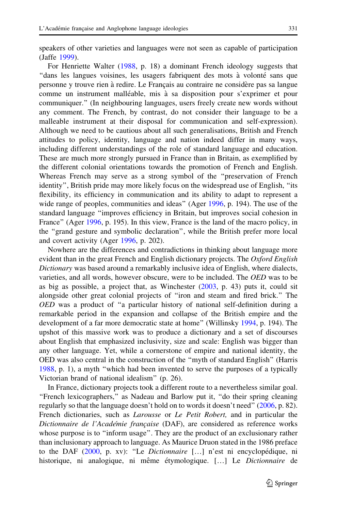speakers of other varieties and languages were not seen as capable of participation (Jaffe [1999](#page-15-0)).

For Henriette Walter ([1988,](#page-15-0) p. 18) a dominant French ideology suggests that ''dans les langues voisines, les usagers fabriquent des mots a` volonte´ sans que personne y trouve rien à redire. Le Français au contraire ne considère pas sa langue comme un instrument malle´able, mis a` sa disposition pour s'exprimer et pour communiquer.'' (In neighbouring languages, users freely create new words without any comment. The French, by contrast, do not consider their language to be a malleable instrument at their disposal for communication and self-expression). Although we need to be cautious about all such generalisations, British and French attitudes to policy, identity, language and nation indeed differ in many ways, including different understandings of the role of standard language and education. These are much more strongly pursued in France than in Britain, as exemplified by the different colonial orientations towards the promotion of French and English. Whereas French may serve as a strong symbol of the ''preservation of French identity'', British pride may more likely focus on the widespread use of English, ''its flexibility, its efficiency in communication and its ability to adapt to represent a wide range of peoples, communities and ideas" (Ager [1996,](#page-14-0) p. 194). The use of the standard language ''improves efficiency in Britain, but improves social cohesion in France" (Ager [1996](#page-14-0), p. 195). In this view, France is the land of the macro policy, in the ''grand gesture and symbolic declaration'', while the British prefer more local and covert activity (Ager [1996](#page-14-0), p. 202).

Nowhere are the differences and contradictions in thinking about language more evident than in the great French and English dictionary projects. The Oxford English Dictionary was based around a remarkably inclusive idea of English, where dialects, varieties, and all words, however obscure, were to be included. The OED was to be as big as possible, a project that, as Winchester  $(2003, p. 43)$  $(2003, p. 43)$  puts it, could sit alongside other great colonial projects of ''iron and steam and fired brick.'' The OED was a product of ''a particular history of national self-definition during a remarkable period in the expansion and collapse of the British empire and the development of a far more democratic state at home'' (Willinsky [1994](#page-15-0), p. 194). The upshot of this massive work was to produce a dictionary and a set of discourses about English that emphasized inclusivity, size and scale: English was bigger than any other language. Yet, while a cornerstone of empire and national identity, the OED was also central in the construction of the ''myth of standard English'' (Harris [1988,](#page-15-0) p. 1), a myth ''which had been invented to serve the purposes of a typically Victorian brand of national idealism'' (p. 26).

In France, dictionary projects took a different route to a nevertheless similar goal. ''French lexicographers,'' as Nadeau and Barlow put it, ''do their spring cleaning regularly so that the language doesn't hold on to words it doesn't need'' [\(2006](#page-15-0), p. 82). French dictionaries, such as *Larousse* or *Le Petit Robert*, and in particular the Dictionnaire de l'Académie française (DAF), are considered as reference works whose purpose is to "inform usage". They are the product of an exclusionary rather than inclusionary approach to language. As Maurice Druon stated in the 1986 preface to the DAF [\(2000](#page-15-0), p. xv): "Le Dictionnaire [...] n'est ni encyclopédique, ni historique, ni analogique, ni même étymologique. [...] Le *Dictionnaire* de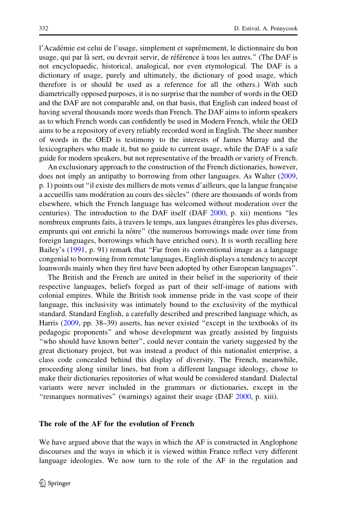<span id="page-7-0"></span>l'Académie est celui de l'usage, simplement et suprêmement, le dictionnaire du bon usage, qui par là sert, ou devrait servir, de référence à tous les autres." (The DAF is not encyclopaedic, historical, analogical, nor even etymological. The DAF is a dictionary of usage, purely and ultimately, the dictionary of good usage, which therefore is or should be used as a reference for all the others.) With such diametrically opposed purposes, it is no surprise that the number of words in the OED and the DAF are not comparable and, on that basis, that English can indeed boast of having several thousands more words than French. The DAF aims to inform speakers as to which French words can confidently be used in Modern French, while the OED aims to be a repository of every reliably recorded word in English. The sheer number of words in the OED is testimony to the interests of James Murray and the lexicographers who made it, but no guide to current usage, while the DAF is a safe guide for modern speakers, but not representative of the breadth or variety of French.

An exclusionary approach to the construction of the French dictionaries, however, does not imply an antipathy to borrowing from other languages. As Walter ([2009,](#page-15-0) p. 1) points out "il existe des milliers de mots venus d'ailleurs, que la langue francaise a accueillis sans modération au cours des siècles" (there are thousands of words from elsewhere, which the French language has welcomed without moderation over the centuries). The introduction to the DAF itself (DAF [2000](#page-15-0), p. xii) mentions ''les nombreux emprunts faits, à travers le temps, aux langues étrangères les plus diverses, emprunts qui ont enrichi la nôtre" (the numerous borrowings made over time from foreign languages, borrowings which have enriched ours). It is worth recalling here Bailey's ([1991,](#page-14-0) p. 91) remark that ''Far from its conventional image as a language congenial to borrowing from remote languages, English displays a tendency to accept loanwords mainly when they first have been adopted by other European languages''.

The British and the French are united in their belief in the superiority of their respective languages, beliefs forged as part of their self-image of nations with colonial empires. While the British took immense pride in the vast scope of their language, this inclusivity was intimately bound to the exclusivity of the mythical standard. Standard English, a carefully described and prescribed language which, as Harris ([2009,](#page-15-0) pp. 38–39) asserts, has never existed "except in the textbooks of its pedagogic proponents'' and whose development was greatly assisted by linguists "who should have known better", could never contain the variety suggested by the great dictionary project, but was instead a product of this nationalist enterprise, a class code concealed behind this display of diversity. The French, meanwhile, proceeding along similar lines, but from a different language ideology, chose to make their dictionaries repositories of what would be considered standard. Dialectal variants were never included in the grammars or dictionaries, except in the "remarques normatives" (warnings) against their usage (DAF [2000](#page-15-0), p. xiii).

### The role of the AF for the evolution of French

We have argued above that the ways in which the AF is constructed in Anglophone discourses and the ways in which it is viewed within France reflect very different language ideologies. We now turn to the role of the AF in the regulation and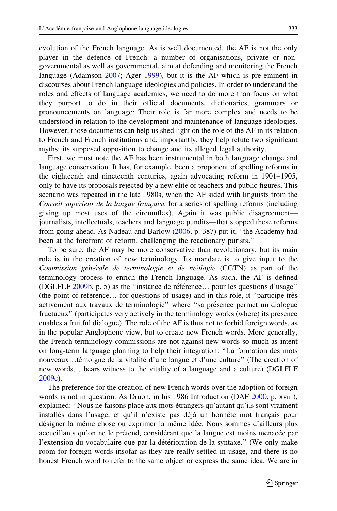evolution of the French language. As is well documented, the AF is not the only player in the defence of French: a number of organisations, private or nongovernmental as well as governmental, aim at defending and monitoring the French language (Adamson [2007](#page-14-0); Ager [1999](#page-14-0)), but it is the AF which is pre-eminent in discourses about French language ideologies and policies. In order to understand the roles and effects of language academies, we need to do more than focus on what they purport to do in their official documents, dictionaries, grammars or pronouncements on language: Their role is far more complex and needs to be understood in relation to the development and maintenance of language ideologies. However, those documents can help us shed light on the role of the AF in its relation to French and French institutions and, importantly, they help refute two significant myths: its supposed opposition to change and its alleged legal authority.

First, we must note the AF has been instrumental in both language change and language conservation. It has, for example, been a proponent of spelling reforms in the eighteenth and nineteenth centuries, again advocating reform in 1901–1905, only to have its proposals rejected by a new elite of teachers and public figures. This scenario was repeated in the late 1980s, when the AF sided with linguists from the Conseil supertieur de la langue française for a series of spelling reforms (including giving up most uses of the circumflex). Again it was public disagreement journalists, intellectuals, teachers and language pundits—that stopped these reforms from going ahead. As Nadeau and Barlow [\(2006](#page-15-0), p. 387) put it, ''the Academy had been at the forefront of reform, challenging the reactionary purists.''

To be sure, the AF may be more conservative than revolutionary, but its main role is in the creation of new terminology. Its mandate is to give input to the Commission générale de terminologie et de néologie (CGTN) as part of the terminology process to enrich the French language. As such, the AF is defined (DGLFLF [2009b,](#page-14-0) p. 5) as the "instance de référence... pour les questions d'usage" (the point of reference... for questions of usage) and in this role, it "participe très activement aux travaux de terminologie" where "sa présence permet un dialogue fructueux'' (participates very actively in the terminology works (where) its presence enables a fruitful dialogue). The role of the AF is thus not to forbid foreign words, as in the popular Anglophone view, but to create new French words. More generally, the French terminology commissions are not against new words so much as intent on long-term language planning to help their integration: ''La formation des mots nouveaux...témoigne de la vitalité d'une langue et d'une culture'' (The creation of new words… bears witness to the vitality of a language and a culture) (DGLFLF [2009c](#page-15-0)).

The preference for the creation of new French words over the adoption of foreign words is not in question. As Druon, in his 1986 Introduction (DAF [2000,](#page-15-0) p. xviii), explained: "Nous ne faisons place aux mots étrangers qu'autant qu'ils sont vraiment installés dans l'usage, et qu'il n'existe pas déjà un honnête mot français pour désigner la même chose ou exprimer la même idée. Nous sommes d'ailleurs plus accueillants qu'on ne le prétend, considérant que la langue est moins menacée par l'extension du vocabulaire que par la détérioration de la syntaxe." (We only make room for foreign words insofar as they are really settled in usage, and there is no honest French word to refer to the same object or express the same idea. We are in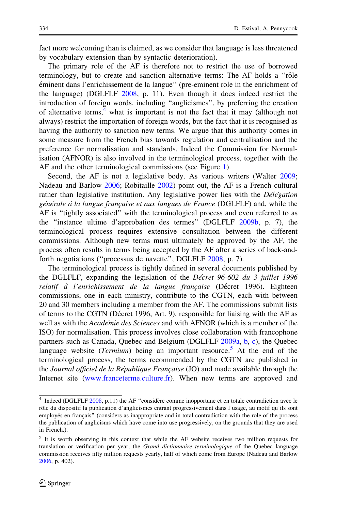fact more welcoming than is claimed, as we consider that language is less threatened by vocabulary extension than by syntactic deterioration).

The primary role of the AF is therefore not to restrict the use of borrowed terminology, but to create and sanction alternative terms: The AF holds a "rôle" éminent dans l'enrichissement de la langue" (pre-eminent role in the enrichment of the language) (DGLFLF [2008,](#page-14-0) p. 11). Even though it does indeed restrict the introduction of foreign words, including ''anglicismes'', by preferring the creation of alternative terms,  $4$  what is important is not the fact that it may (although not always) restrict the importation of foreign words, but the fact that it is recognised as having the authority to sanction new terms. We argue that this authority comes in some measure from the French bias towards regulation and centralisation and the preference for normalisation and standards. Indeed the Commission for Normalisation (AFNOR) is also involved in the terminological process, together with the AF and the other terminological commissions (see Figure [1](#page-10-0)).

Second, the AF is not a legislative body. As various writers (Walter [2009;](#page-15-0) Nadeau and Barlow [2006](#page-15-0); Robitaille [2002\)](#page-15-0) point out, the AF is a French cultural rather than legislative institution. Any legislative power lies with the *Delégation* générale à la langue francaise et aux langues de France (DGLFLF) and, while the AF is ''tightly associated'' with the terminological process and even referred to as the ''instance ultime d'approbation des termes'' (DGLFLF [2009b](#page-14-0), p. 7), the terminological process requires extensive consultation between the different commissions. Although new terms must ultimately be approved by the AF, the process often results in terms being accepted by the AF after a series of back-andforth negotiations (''processus de navette'', DGLFLF [2008](#page-14-0), p. 7).

The terminological process is tightly defined in several documents published by the DGLFLF, expanding the legislation of the *Décret* 96-602 du 3 juillet 1996 relatif à l'enrichissement de la langue française (Décret 1996). Eighteen commissions, one in each ministry, contribute to the CGTN, each with between 20 and 30 members including a member from the AF. The commissions submit lists of terms to the CGTN (Décret 1996, Art. 9), responsible for liaising with the AF as well as with the Académie des Sciences and with AFNOR (which is a member of the ISO) for normalisation. This process involves close collaboration with francophone partners such as Canada, Quebec and Belgium (DGLFLF [2009a,](#page-14-0) [b](#page-14-0), [c](#page-15-0)), the Quebec language website (*Termium*) being an important resource.<sup>5</sup> At the end of the terminological process, the terms recommended by the CGTN are published in the Journal officiel de la République Française (JO) and made available through the Internet site ([www.franceterme.culture.fr](http://www.franceterme.culture.fr)). When new terms are approved and

 $4$  Indeed (DGLFLF [2008,](#page-14-0) p.11) the AF "considère comme inopportune et en totale contradiction avec le rôle du dispositif la publication d'anglicismes entrant progressivement dans l'usage, au motif qu'ils sont employés en français" (considers as inappropriate and in total contradiction with the role of the process the publication of anglicisms which have come into use progressively, on the grounds that they are used in French.).

<sup>&</sup>lt;sup>5</sup> It is worth observing in this context that while the AF website receives two million requests for translation or verification per year, the Grand dictionnaire terminologique of the Quebec language commission receives fifty million requests yearly, half of which come from Europe (Nadeau and Barlow [2006,](#page-15-0) p. 402).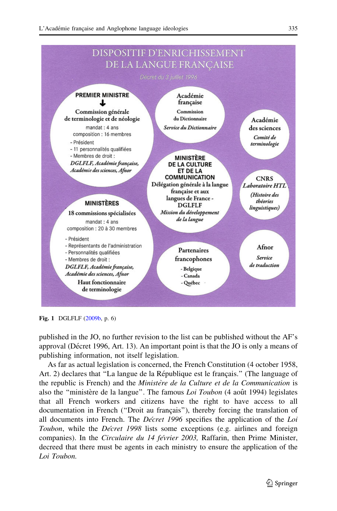<span id="page-10-0"></span>

Fig. 1 DGLFLF ([2009b,](#page-14-0) p. 6)

published in the JO, no further revision to the list can be published without the AF's approval (Décret 1996, Art. 13). An important point is that the JO is only a means of publishing information, not itself legislation.

As far as actual legislation is concerned, the French Constitution (4 october 1958, Art. 2) declares that "La langue de la République est le français." (The language of the republic is French) and the *Ministère de la Culture et de la Communication* is also the "ministère de la langue". The famous Loi Toubon (4 août 1994) legislates that all French workers and citizens have the right to have access to all documentation in French ("Droit au français"), thereby forcing the translation of all documents into French. The *Décret* 1996 specifies the application of the Loi Toubon, while the *Décret 1998* lists some exceptions (e.g. airlines and foreign companies). In the *Circulaire du 14 février 2003*, Raffarin, then Prime Minister, decreed that there must be agents in each ministry to ensure the application of the Loi Toubon.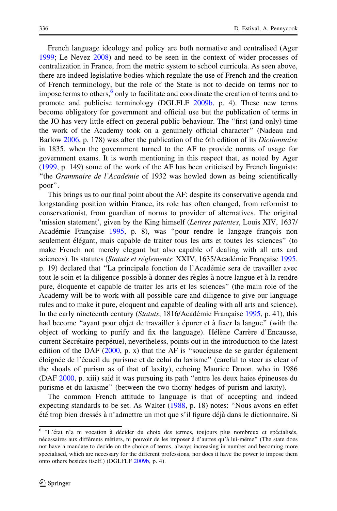French language ideology and policy are both normative and centralised (Ager [1999;](#page-14-0) Le Nevez [2008\)](#page-15-0) and need to be seen in the context of wider processes of centralization in France, from the metric system to school curricula. As seen above, there are indeed legislative bodies which regulate the use of French and the creation of French terminology, but the role of the State is not to decide on terms nor to impose terms to others, $6$  only to facilitate and coordinate the creation of terms and to promote and publicise terminology (DGLFLF [2009b](#page-14-0), p. 4). These new terms become obligatory for government and official use but the publication of terms in the JO has very little effect on general public behaviour. The ''first (and only) time the work of the Academy took on a genuinely official character'' (Nadeau and Barlow [2006](#page-15-0), p. 178) was after the publication of the 6th edition of its *Dictionnaire* in 1835, when the government turned to the AF to provide norms of usage for government exams. It is worth mentioning in this respect that, as noted by Ager [\(1999](#page-14-0), p. 149) some of the work of the AF has been criticised by French linguists: "the *Grammaire de l'Académie* of 1932 was howled down as being scientifically poor''.

This brings us to our final point about the AF: despite its conservative agenda and longstanding position within France, its role has often changed, from reformist to conservationist, from guardian of norms to provider of alternatives. The original 'mission statement', given by the King himself (Lettres patentes, Louis XIV, 1637/ Académie Française [1995](#page-14-0), p. 8), was "pour rendre le langage françois non seulement élégant, mais capable de traiter tous les arts et toutes les sciences" (to make French not merely elegant but also capable of dealing with all arts and sciences). Its statutes (Statuts et règlements: XXIV, 1635/Académie Française [1995,](#page-14-0) p. 19) declared that ''La principale fonction de l'Acade´mie sera de travailler avec tout le soin et la diligence possible à donner des règles à notre langue et à la rendre pure, éloquente et capable de traiter les arts et les sciences" (the main role of the Academy will be to work with all possible care and diligence to give our language rules and to make it pure, eloquent and capable of dealing with all arts and science). In the early nineteenth century (*Statuts*, 1816/Académie Française [1995,](#page-14-0) p. 41), this had become "ayant pour objet de travailler à épurer et à fixer la langue" (with the object of working to purify and fix the language). Hélène Carrère d'Encausse, current Secrétaire perpétuel, nevertheless, points out in the introduction to the latest edition of the DAF  $(2000, p. x)$  $(2000, p. x)$  that the AF is "soucieuse de se garder également e´loigne´e de l'e´cueil du purisme et de celui du laxisme'' (careful to steer as clear of the shoals of purism as of that of laxity), echoing Maurice Druon, who in 1986 (DAF  $2000$ , p. xiii) said it was pursuing its path "entre les deux haies épineuses du purisme et du laxisme'' (between the two thorny hedges of purism and laxity).

The common French attitude to language is that of accepting and indeed expecting standards to be set. As Walter ([1988,](#page-15-0) p. 18) notes: ''Nous avons en effet ete trop bien dresses à n'admettre un mot que s'il figure dejà dans le dictionnaire. Si

 $6$  "L'état n'a ni vocation à décider du choix des termes, toujours plus nombreux et spécialisés, nécessaires aux différents métiers, ni pouvoir de les imposer à d'autres qu'à lui-même" (The state does not have a mandate to decide on the choice of terms, always increasing in number and becoming more specialised, which are necessary for the different professions, nor does it have the power to impose them onto others besides itself.) (DGLFLF [2009b](#page-14-0), p. 4).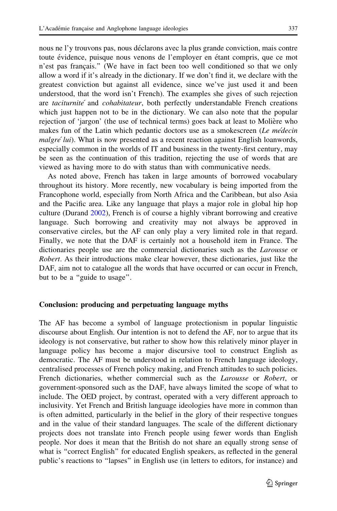nous ne l'y trouvons pas, nous déclarons avec la plus grande conviction, mais contre toute évidence, puisque nous venons de l'employer en étant compris, que ce mot n'est pas français." (We have in fact been too well conditioned so that we only allow a word if it's already in the dictionary. If we don't find it, we declare with the greatest conviction but against all evidence, since we've just used it and been understood, that the word isn't French). The examples she gives of such rejection are taciturnite' and cohabitateur, both perfectly understandable French creations which just happen not to be in the dictionary. We can also note that the popular rejection of 'jargon' (the use of technical terms) goes back at least to Molière who makes fun of the Latin which pedantic doctors use as a smokescreen ( $Le$  mé $decin$  $malgre' lui$ ). What is now presented as a recent reaction against English loanwords, especially common in the worlds of IT and business in the twenty-first century, may be seen as the continuation of this tradition, rejecting the use of words that are viewed as having more to do with status than with communicative needs.

As noted above, French has taken in large amounts of borrowed vocabulary throughout its history. More recently, new vocabulary is being imported from the Francophone world, especially from North Africa and the Caribbean, but also Asia and the Pacific area. Like any language that plays a major role in global hip hop culture (Durand [2002\)](#page-15-0), French is of course a highly vibrant borrowing and creative language. Such borrowing and creativity may not always be approved in conservative circles, but the AF can only play a very limited role in that regard. Finally, we note that the DAF is certainly not a household item in France. The dictionaries people use are the commercial dictionaries such as the Larousse or Robert. As their introductions make clear however, these dictionaries, just like the DAF, aim not to catalogue all the words that have occurred or can occur in French, but to be a ''guide to usage''.

## Conclusion: producing and perpetuating language myths

The AF has become a symbol of language protectionism in popular linguistic discourse about English. Our intention is not to defend the AF, nor to argue that its ideology is not conservative, but rather to show how this relatively minor player in language policy has become a major discursive tool to construct English as democratic. The AF must be understood in relation to French language ideology, centralised processes of French policy making, and French attitudes to such policies. French dictionaries, whether commercial such as the Larousse or Robert, or government-sponsored such as the DAF, have always limited the scope of what to include. The OED project, by contrast, operated with a very different approach to inclusivity. Yet French and British language ideologies have more in common than is often admitted, particularly in the belief in the glory of their respective tongues and in the value of their standard languages. The scale of the different dictionary projects does not translate into French people using fewer words than English people. Nor does it mean that the British do not share an equally strong sense of what is "correct English" for educated English speakers, as reflected in the general public's reactions to ''lapses'' in English use (in letters to editors, for instance) and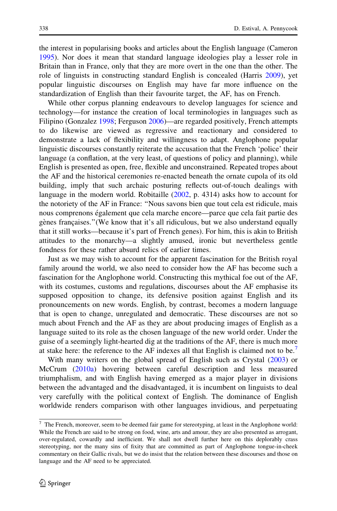the interest in popularising books and articles about the English language (Cameron [1995\)](#page-14-0). Nor does it mean that standard language ideologies play a lesser role in Britain than in France, only that they are more overt in the one than the other. The role of linguists in constructing standard English is concealed (Harris [2009](#page-15-0)), yet popular linguistic discourses on English may have far more influence on the standardization of English than their favourite target, the AF, has on French.

While other corpus planning endeavours to develop languages for science and technology—for instance the creation of local terminologies in languages such as Filipino (Gonzalez [1998;](#page-15-0) Ferguson [2006\)](#page-15-0)—are regarded positively, French attempts to do likewise are viewed as regressive and reactionary and considered to demonstrate a lack of flexibility and willingness to adapt. Anglophone popular linguistic discourses constantly reiterate the accusation that the French 'police' their language (a conflation, at the very least, of questions of policy and planning), while English is presented as open, free, flexible and unconstrained. Repeated tropes about the AF and the historical ceremonies re-enacted beneath the ornate cupola of its old building, imply that such archaic posturing reflects out-of-touch dealings with language in the modern world. Robitaille ([2002,](#page-15-0) p. 4314) asks how to account for the notoriety of the AF in France: ''Nous savons bien que tout cela est ridicule, mais nous comprenons également que cela marche encore—parce que cela fait partie des gènes françaises."(We know that it's all ridiculous, but we also understand equally that it still works—because it's part of French genes). For him, this is akin to British attitudes to the monarchy—a slightly amused, ironic but nevertheless gentle fondness for these rather absurd relics of earlier times.

Just as we may wish to account for the apparent fascination for the British royal family around the world, we also need to consider how the AF has become such a fascination for the Anglophone world. Constructing this mythical foe out of the AF, with its costumes, customs and regulations, discourses about the AF emphasise its supposed opposition to change, its defensive position against English and its pronouncements on new words. English, by contrast, becomes a modern language that is open to change, unregulated and democratic. These discourses are not so much about French and the AF as they are about producing images of English as a language suited to its role as the chosen language of the new world order. Under the guise of a seemingly light-hearted dig at the traditions of the AF, there is much more at stake here: the reference to the AF indexes all that English is claimed not to be.<sup>7</sup>

With many writers on the global spread of English such as Crystal ([2003\)](#page-14-0) or McCrum [\(2010a\)](#page-15-0) hovering between careful description and less measured triumphalism, and with English having emerged as a major player in divisions between the advantaged and the disadvantaged, it is incumbent on linguists to deal very carefully with the political context of English. The dominance of English worldwide renders comparison with other languages invidious, and perpetuating

 $7$  The French, moreover, seem to be deemed fair game for stereotyping, at least in the Anglophone world: While the French are said to be strong on food, wine, arts and amour, they are also presented as arrogant, over-regulated, cowardly and inefficient. We shall not dwell further here on this deplorably crass stereotyping, nor the many sins of fixity that are committed as part of Anglophone tongue-in-cheek commentary on their Gallic rivals, but we do insist that the relation between these discourses and those on language and the AF need to be appreciated.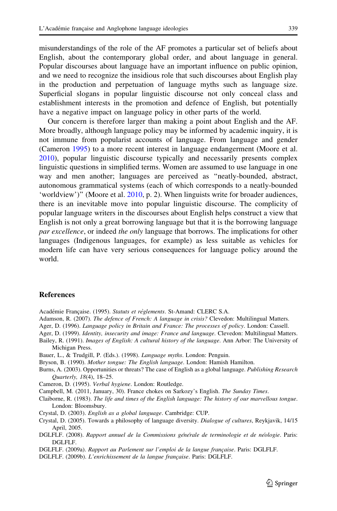<span id="page-14-0"></span>misunderstandings of the role of the AF promotes a particular set of beliefs about English, about the contemporary global order, and about language in general. Popular discourses about language have an important influence on public opinion, and we need to recognize the insidious role that such discourses about English play in the production and perpetuation of language myths such as language size. Superficial slogans in popular linguistic discourse not only conceal class and establishment interests in the promotion and defence of English, but potentially have a negative impact on language policy in other parts of the world.

Our concern is therefore larger than making a point about English and the AF. More broadly, although language policy may be informed by academic inquiry, it is not immune from popularist accounts of language. From language and gender (Cameron 1995) to a more recent interest in language endangerment (Moore et al. [2010\)](#page-15-0), popular linguistic discourse typically and necessarily presents complex linguistic questions in simplified terms. Women are assumed to use language in one way and men another; languages are perceived as ''neatly-bounded, abstract, autonomous grammatical systems (each of which corresponds to a neatly-bounded 'worldview')'' (Moore et al. [2010,](#page-15-0) p. 2). When linguists write for broader audiences, there is an inevitable move into popular linguistic discourse. The complicity of popular language writers in the discourses about English helps construct a view that English is not only a great borrowing language but that it is the borrowing language par excellence, or indeed the only language that borrows. The implications for other languages (Indigenous languages, for example) as less suitable as vehicles for modern life can have very serious consequences for language policy around the world.

#### References

- Académie Française. (1995). Statuts et règlements. St-Amand: CLERC S.A.
- Adamson, R. (2007). The defence of French: A language in crisis? Clevedon: Multilingual Matters.
- Ager, D. (1996). Language policy in Britain and France: The processes of policy. London: Cassell.
- Ager, D. (1999). Identity, insecurity and image: France and language. Clevedon: Multilingual Matters.
- Bailey, R. (1991). Images of English: A cultural history of the language. Ann Arbor: The University of Michigan Press.
- Bauer, L., & Trudgill, P. (Eds.). (1998). Language myths. London: Penguin.
- Bryson, B. (1990). Mother tongue: The English language. London: Hamish Hamilton.
- Burns, A. (2003). Opportunities or threats? The case of English as a global language. Publishing Research Quarterly, 18(4), 18–25.

Cameron, D. (1995). Verbal hygiene. London: Routledge.

- Campbell, M. (2011, January, 30). France chokes on Sarkozy's English. The Sunday Times.
- Claiborne, R. (1983). The life and times of the English language: The history of our marvellous tongue. London: Bloomsbury.
- Crystal, D. (2003). English as a global language. Cambridge: CUP.
- Crystal, D. (2005). Towards a philosophy of language diversity. Dialogue of cultures, Reykjavik, 14/15 April, 2005.
- DGLFLF. (2008). Rapport annuel de la Commissions générale de terminologie et de néologie. Paris: DGLFLF.
- DGLFLF. (2009a). Rapport au Parlement sur l'emploi de la langue française. Paris: DGLFLF.
- DGLFLF. (2009b). L'enrichissement de la langue française. Paris: DGLFLF.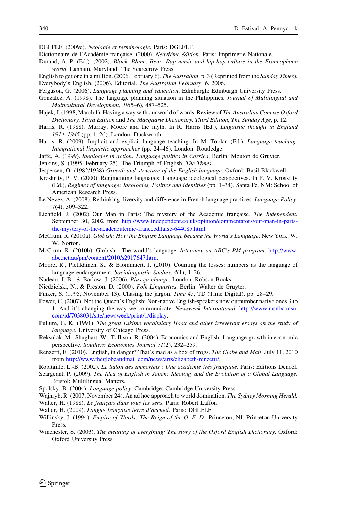<span id="page-15-0"></span>DGLFLF. (2009c). Néologie et terminologie. Paris: DGLFLF.

- Dictionnaire de l'Académie française. (2000). Neuvième édition. Paris: Imprimerie Nationale.
- Durand, A. P. (Ed.). (2002). Black, Blanc, Beur: Rap music and hip-hop culture in the Francophone world. Lanham, Maryland: The Scarecrow Press.
- English to get one in a million. (2006, February 6). The Australian. p. 3 (Reprinted from the Sunday Times). Everybody's English. (2006). Editorial. The Australian February, 6, 2006.

Ferguson, G. (2006). Language planning and education. Edinburgh: Edinburgh University Press.

- Gonzalez, A. (1998). The language planning situation in the Philippines. *Journal of Multilingual and* Multicultural Development, 19(5–6), 487–525.
- Hajek, J. (1998, March 1). Having a way with our world of words. Review of The Australian Concise Oxford Dictionary, Third Edition and The Macquarie Dictionary, Third Edition, The Sunday Age, p. 12.
- Harris, R. (1988). Murray, Moore and the myth. In R. Harris (Ed.), Linguistic thought in England 1914–1945 (pp. 1–26). London: Duckworth.
- Harris, R. (2009). Implicit and explicit language teaching. In M. Toolan (Ed.), *Language teaching*: Integrational linguistic approaches (pp. 24–46). London: Routledge.
- Jaffe, A. (1999). Ideologies in action: Language politics in Corsica. Berlin: Mouton de Gruyter.

Jenkins, S. (1995, February 25). The Triumph of English. The Times.

- Jespersen, O. (1982/1938) Growth and structure of the English language. Oxford: Basil Blackwell.
- Kroskrity, P. V. (2000). Regimenting languages: Language ideological perspectives. In P. V. Kroskrity (Ed.), Regimes of language: Ideologies, Politics and identities (pp. 1–34). Santa Fe, NM: School of American Research Press.
- Le Nevez, A. (2008). Rethinking diversity and difference in French language practices. Language Policy. 7(4), 309–322.
- Lichfield, J. (2002) Our Man in Paris: The mystery of the Académie francaise. The Independent. September 30, 2002 from [http://www.independent.co.uk/opinion/commentators/our-man-in-paris](http://www.independent.co.uk/opinion/commentators/our-man-in-paris-the-mystery-of-the-acadeacutemie-franccedilaise-644085.html)[the-mystery-of-the-acadeacutemie-franccedilaise-644085.html.](http://www.independent.co.uk/opinion/commentators/our-man-in-paris-the-mystery-of-the-acadeacutemie-franccedilaise-644085.html)
- McCrum, R. (2010a). Globish: How the English Language became the World's Language. New York: W. W. Norton.
- McCrum, R. (2010b). Globish—The world's language. *Interview on ABC's PM program.* [http://www.](http://www.abc.net.au/pm/content/2010/s2917647.htm) [abc.net.au/pm/content/2010/s2917647.htm](http://www.abc.net.au/pm/content/2010/s2917647.htm).
- Moore, R., Pietikäinen, S., & Blommaert, J. (2010). Counting the losses: numbers as the language of language endangerment. Sociolinguistic Studies, 4(1), 1–26.
- Nadeau, J.-B., & Barlow, J. (2006). Plus ça change. London: Robson Books.
- Niedzielski, N., & Preston, D. (2000). Folk Linguistics. Berlin: Walter de Gruyter.
- Pinker, S. (1995, November 13). Chasing the jargon. Time 45, TD (Time Digital), pp. 28–29.
- Power, C. (2007). Not the Queen's English: Non-native English-speakers now outnumber native ones 3 to 1. And it's changing the way we communicate. Newsweek International. [http://www.msnbc.msn.](http://www.msnbc.msn.com/id/7038031/site/newsweek/print/1/display) [com/id/7038031/site/newsweek/print/1/display.](http://www.msnbc.msn.com/id/7038031/site/newsweek/print/1/display)
- Pullum, G. K. (1991). The great Eskimo vocabulary Hoax and other irreverent essays on the study of language. University of Chicago Press.
- Reksulak, M., Shughart, W., Tollison, R. (2004). Economics and English: Language growth in economic perspective. Southern Economics Journal 71(2), 232–259.
- Renzetti, E. (2010). English, in danger? That's mad as a box of frogs. The Globe and Mail. July 11, 2010 from [http://www.theglobeandmail.com/news/arts/elizabeth-renzetti/.](http://www.theglobeandmail.com/news/arts/elizabeth-renzetti/)
- Robitaille, L.-B. (2002). Le Salon des immortels : Une académie très française. Paris: Editions Denoël.
- Seargeant, P. (2009). The Idea of English in Japan: Ideology and the Evolution of a Global Language. Bristol: Multilingual Matters.

Spolsky, B. (2004). Language policy. Cambridge: Cambridge University Press.

Wajnryb, R. (2007, November 24). An ad hoc approach to world domination. The Sydney Morning Herald.

- Walter, H. (1988). Le français dans tous les sens. Paris: Robert Laffon.
- Walter, H. (2009). Langue française terre d'accueil. Paris: DGLFLF.
- Willinsky, J. (1994). *Empire of Words: The Reign of the O. E. D.*. Princeton, NJ: Princeton University Press.
- Winchester, S. (2003). The meaning of everything: The story of the Oxford English Dictionary. Oxford: Oxford University Press.